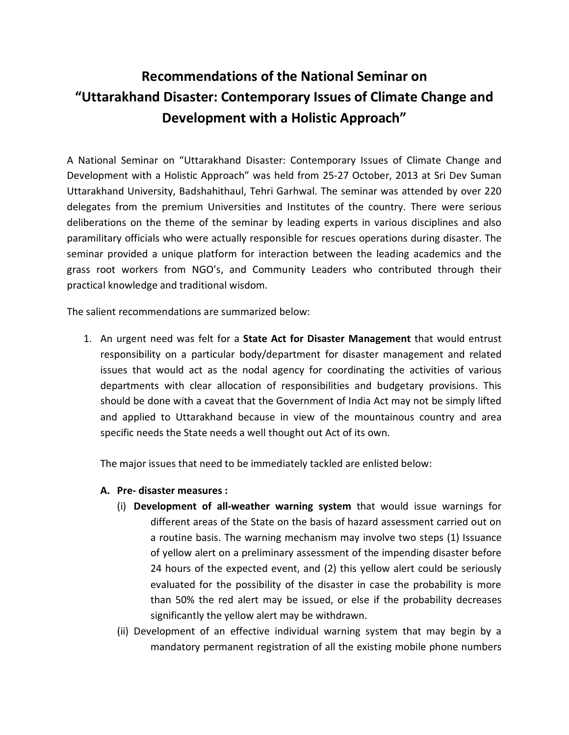## **Recommendations of the National Seminar on "Uttarakhand Disaster: Contemporary Issues of Climate Change and Development with a Holistic Approach"**

A National Seminar on "Uttarakhand Disaster: Contemporary Issues of Climate Change and Development with a Holistic Approach" was held from 25-27 October, 2013 at Sri Dev Suman Uttarakhand University, Badshahithaul, Tehri Garhwal. The seminar was attended by over 220 delegates from the premium Universities and Institutes of the country. There were serious deliberations on the theme of the seminar by leading experts in various disciplines and also paramilitary officials who were actually responsible for rescues operations during disaster. The seminar provided a unique platform for interaction between the leading academics and the grass root workers from NGO's, and Community Leaders who contributed through their practical knowledge and traditional wisdom.

The salient recommendations are summarized below:

1. An urgent need was felt for a **State Act for Disaster Management** that would entrust responsibility on a particular body/department for disaster management and related issues that would act as the nodal agency for coordinating the activities of various departments with clear allocation of responsibilities and budgetary provisions. This should be done with a caveat that the Government of India Act may not be simply lifted and applied to Uttarakhand because in view of the mountainous country and area specific needs the State needs a well thought out Act of its own.

The major issues that need to be immediately tackled are enlisted below:

- **A. Pre- disaster measures :**
	- (i) **Development of all-weather warning system** that would issue warnings for different areas of the State on the basis of hazard assessment carried out on a routine basis. The warning mechanism may involve two steps (1) Issuance of yellow alert on a preliminary assessment of the impending disaster before 24 hours of the expected event, and (2) this yellow alert could be seriously evaluated for the possibility of the disaster in case the probability is more than 50% the red alert may be issued, or else if the probability decreases significantly the yellow alert may be withdrawn.
	- (ii) Development of an effective individual warning system that may begin by a mandatory permanent registration of all the existing mobile phone numbers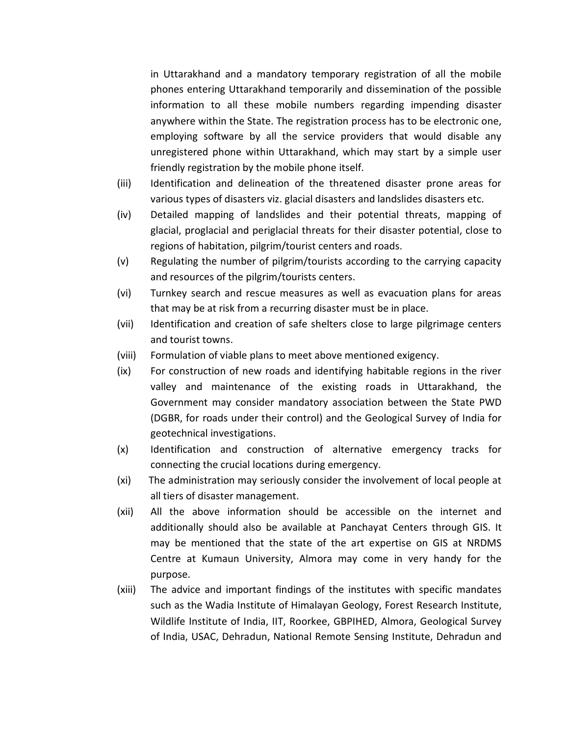in Uttarakhand and a mandatory temporary registration of all the mobile phones entering Uttarakhand temporarily and dissemination of the possible information to all these mobile numbers regarding impending disaster anywhere within the State. The registration process has to be electronic one, employing software by all the service providers that would disable any unregistered phone within Uttarakhand, which may start by a simple user friendly registration by the mobile phone itself.

- (iii) Identification and delineation of the threatened disaster prone areas for various types of disasters viz. glacial disasters and landslides disasters etc.
- (iv) Detailed mapping of landslides and their potential threats, mapping of glacial, proglacial and periglacial threats for their disaster potential, close to regions of habitation, pilgrim/tourist centers and roads.
- (v) Regulating the number of pilgrim/tourists according to the carrying capacity and resources of the pilgrim/tourists centers.
- (vi) Turnkey search and rescue measures as well as evacuation plans for areas that may be at risk from a recurring disaster must be in place.
- (vii) Identification and creation of safe shelters close to large pilgrimage centers and tourist towns.
- (viii) Formulation of viable plans to meet above mentioned exigency.
- (ix) For construction of new roads and identifying habitable regions in the river valley and maintenance of the existing roads in Uttarakhand, the Government may consider mandatory association between the State PWD (DGBR, for roads under their control) and the Geological Survey of India for geotechnical investigations.
- (x) Identification and construction of alternative emergency tracks for connecting the crucial locations during emergency.
- (xi) The administration may seriously consider the involvement of local people at all tiers of disaster management.
- (xii) All the above information should be accessible on the internet and additionally should also be available at Panchayat Centers through GIS. It may be mentioned that the state of the art expertise on GIS at NRDMS Centre at Kumaun University, Almora may come in very handy for the purpose.
- (xiii) The advice and important findings of the institutes with specific mandates such as the Wadia Institute of Himalayan Geology, Forest Research Institute, Wildlife Institute of India, IIT, Roorkee, GBPIHED, Almora, Geological Survey of India, USAC, Dehradun, National Remote Sensing Institute, Dehradun and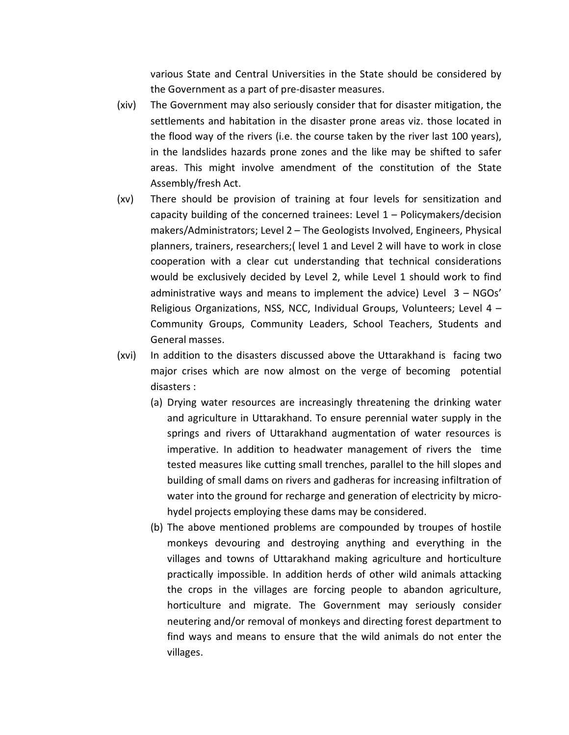various State and Central Universities in the State should be considered by the Government as a part of pre-disaster measures.

- (xiv) The Government may also seriously consider that for disaster mitigation, the settlements and habitation in the disaster prone areas viz. those located in the flood way of the rivers (i.e. the course taken by the river last 100 years), in the landslides hazards prone zones and the like may be shifted to safer areas. This might involve amendment of the constitution of the State Assembly/fresh Act.
- (xv) There should be provision of training at four levels for sensitization and capacity building of the concerned trainees: Level  $1 -$  Policymakers/decision makers/Administrators; Level 2 – The Geologists Involved, Engineers, Physical planners, trainers, researchers;( level 1 and Level 2 will have to work in close cooperation with a clear cut understanding that technical considerations would be exclusively decided by Level 2, while Level 1 should work to find administrative ways and means to implement the advice) Level 3 – NGOs' Religious Organizations, NSS, NCC, Individual Groups, Volunteers; Level 4 – Community Groups, Community Leaders, School Teachers, Students and General masses.
- (xvi) In addition to the disasters discussed above the Uttarakhand is facing two major crises which are now almost on the verge of becoming potential disasters :
	- (a) Drying water resources are increasingly threatening the drinking water and agriculture in Uttarakhand. To ensure perennial water supply in the springs and rivers of Uttarakhand augmentation of water resources is imperative. In addition to headwater management of rivers the time tested measures like cutting small trenches, parallel to the hill slopes and building of small dams on rivers and gadheras for increasing infiltration of water into the ground for recharge and generation of electricity by microhydel projects employing these dams may be considered.
	- (b) The above mentioned problems are compounded by troupes of hostile monkeys devouring and destroying anything and everything in the villages and towns of Uttarakhand making agriculture and horticulture practically impossible. In addition herds of other wild animals attacking the crops in the villages are forcing people to abandon agriculture, horticulture and migrate. The Government may seriously consider neutering and/or removal of monkeys and directing forest department to find ways and means to ensure that the wild animals do not enter the villages.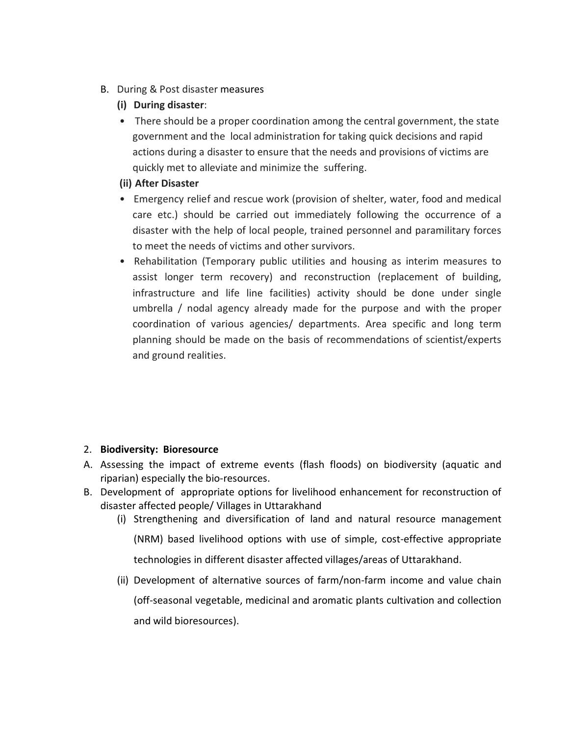- B. During & Post disaster measures
	- **(i) During disaster**:
	- There should be a proper coordination among the central government, the state government and the local administration for taking quick decisions and rapid actions during a disaster to ensure that the needs and provisions of victims are quickly met to alleviate and minimize the suffering.

## **(ii) After Disaster**

- Emergency relief and rescue work (provision of shelter, water, food and medical care etc.) should be carried out immediately following the occurrence of a disaster with the help of local people, trained personnel and paramilitary forces to meet the needs of victims and other survivors.
- Rehabilitation (Temporary public utilities and housing as interim measures to assist longer term recovery) and reconstruction (replacement of building, infrastructure and life line facilities) activity should be done under single umbrella / nodal agency already made for the purpose and with the proper coordination of various agencies/ departments. Area specific and long term planning should be made on the basis of recommendations of scientist/experts and ground realities.

## 2. **Biodiversity: Bioresource**

- A. Assessing the impact of extreme events (flash floods) on biodiversity (aquatic and riparian) especially the bio-resources.
- B. Development of appropriate options for livelihood enhancement for reconstruction of disaster affected people/ Villages in Uttarakhand
	- (i) Strengthening and diversification of land and natural resource management

(NRM) based livelihood options with use of simple, cost-effective appropriate technologies in different disaster affected villages/areas of Uttarakhand.

(ii) Development of alternative sources of farm/non-farm income and value chain (off-seasonal vegetable, medicinal and aromatic plants cultivation and collection and wild bioresources).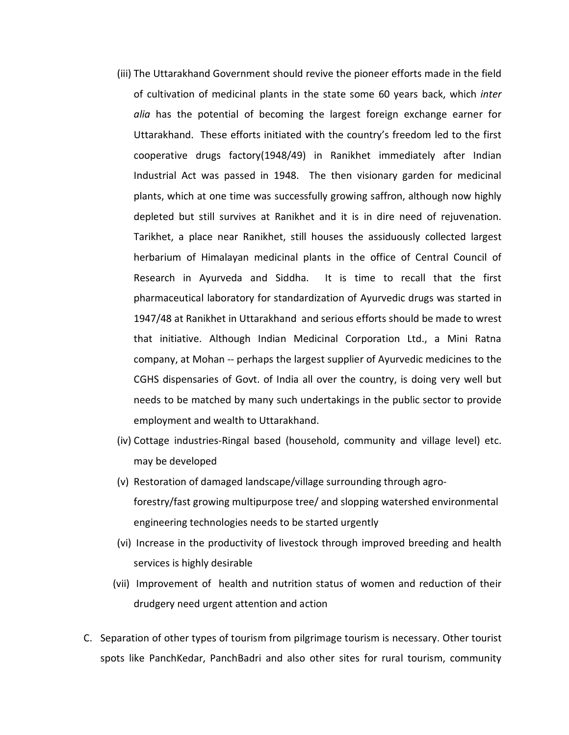- (iii) The Uttarakhand Government should revive the pioneer efforts made in the field of cultivation of medicinal plants in the state some 60 years back, which *inter alia* has the potential of becoming the largest foreign exchange earner for Uttarakhand. These efforts initiated with the country's freedom led to the first cooperative drugs factory(1948/49) in Ranikhet immediately after Indian Industrial Act was passed in 1948. The then visionary garden for medicinal plants, which at one time was successfully growing saffron, although now highly depleted but still survives at Ranikhet and it is in dire need of rejuvenation. Tarikhet, a place near Ranikhet, still houses the assiduously collected largest herbarium of Himalayan medicinal plants in the office of Central Council of Research in Ayurveda and Siddha. It is time to recall that the first pharmaceutical laboratory for standardization of Ayurvedic drugs was started in 1947/48 at Ranikhet in Uttarakhand and serious efforts should be made to wrest that initiative. Although Indian Medicinal Corporation Ltd., a Mini Ratna company, at Mohan -- perhaps the largest supplier of Ayurvedic medicines to the CGHS dispensaries of Govt. of India all over the country, is doing very well but needs to be matched by many such undertakings in the public sector to provide employment and wealth to Uttarakhand.
- (iv) Cottage industries-Ringal based (household, community and village level) etc. may be developed
- (v) Restoration of damaged landscape/village surrounding through agroforestry/fast growing multipurpose tree/ and slopping watershed environmental engineering technologies needs to be started urgently
- (vi) Increase in the productivity of livestock through improved breeding and health services is highly desirable
- (vii) Improvement of health and nutrition status of women and reduction of their drudgery need urgent attention and action
- C. Separation of other types of tourism from pilgrimage tourism is necessary. Other tourist spots like PanchKedar, PanchBadri and also other sites for rural tourism, community